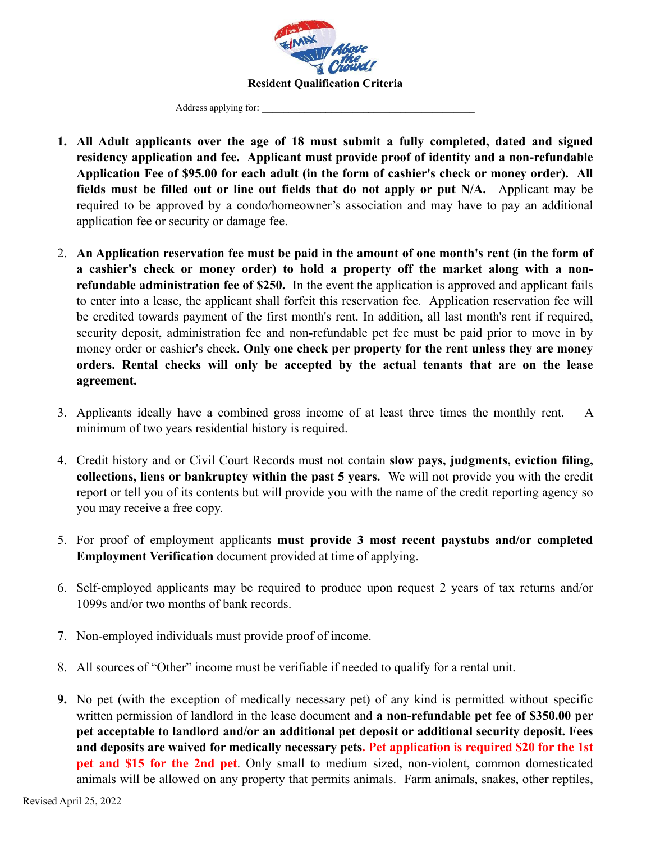

**Resident Qualification Criteria**

Address applying for:

- **1. All Adult applicants over the age of 18 must submit a fully completed, dated and signed residency application and fee. Applicant must provide proof of identity and a non-refundable Application Fee of \$95.00 for each adult (in the form of cashier's check or money order). All fields must be filled out or line out fields that do not apply or put N/A.** Applicant may be required to be approved by a condo/homeowner's association and may have to pay an additional application fee or security or damage fee.
- 2. **An Application reservation fee must be paid in the amount of one month's rent (in the form of a cashier's check or money order) to hold a property off the market along with a nonrefundable administration fee of \$250.** In the event the application is approved and applicant fails to enter into a lease, the applicant shall forfeit this reservation fee. Application reservation fee will be credited towards payment of the first month's rent. In addition, all last month's rent if required, security deposit, administration fee and non-refundable pet fee must be paid prior to move in by money order or cashier's check. **Only one check per property for the rent unless they are money orders. Rental checks will only be accepted by the actual tenants that are on the lease agreement.**
- 3. Applicants ideally have a combined gross income of at least three times the monthly rent. A minimum of two years residential history is required.
- 4. Credit history and or Civil Court Records must not contain **slow pays, judgments, eviction filing, collections, liens or bankruptcy within the past 5 years.** We will not provide you with the credit report or tell you of its contents but will provide you with the name of the credit reporting agency so you may receive a free copy.
- 5. For proof of employment applicants **must provide 3 most recent paystubs and/or completed Employment Verification** document provided at time of applying.
- 6. Self-employed applicants may be required to produce upon request 2 years of tax returns and/or 1099s and/or two months of bank records.
- 7. Non-employed individuals must provide proof of income.
- 8. All sources of "Other" income must be verifiable if needed to qualify for a rental unit.
- **9.** No pet (with the exception of medically necessary pet) of any kind is permitted without specific written permission of landlord in the lease document and **a non-refundable pet fee of \$350.00 per pet acceptable to landlord and/or an additional pet deposit or additional security deposit. Fees and deposits are waived for medically necessary pets. Pet application is required \$20 for the 1st pet and \$15 for the 2nd pet**. Only small to medium sized, non-violent, common domesticated animals will be allowed on any property that permits animals. Farm animals, snakes, other reptiles,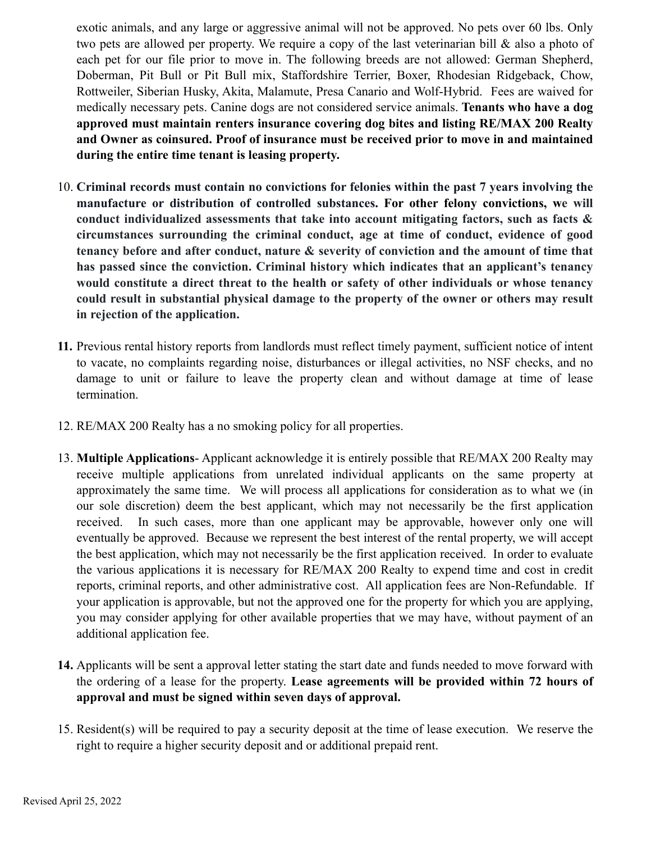exotic animals, and any large or aggressive animal will not be approved. No pets over 60 lbs. Only two pets are allowed per property. We require a copy of the last veterinarian bill & also a photo of each pet for our file prior to move in. The following breeds are not allowed: German Shepherd, Doberman, Pit Bull or Pit Bull mix, Staffordshire Terrier, Boxer, Rhodesian Ridgeback, Chow, Rottweiler, Siberian Husky, Akita, Malamute, Presa Canario and Wolf-Hybrid. Fees are waived for medically necessary pets. Canine dogs are not considered service animals. **Tenants who have a dog approved must maintain renters insurance covering dog bites and listing RE/MAX 200 Realty and Owner as coinsured. Proof of insurance must be received prior to move in and maintained during the entire time tenant is leasing property.** 

- 10. **Criminal records must contain no convictions for felonies within the past 7 years involving the manufacture or distribution of controlled substances. For other felony convictions, we will conduct individualized assessments that take into account mitigating factors, such as facts & circumstances surrounding the criminal conduct, age at time of conduct, evidence of good tenancy before and after conduct, nature & severity of conviction and the amount of time that has passed since the conviction. Criminal history which indicates that an applicant's tenancy would constitute a direct threat to the health or safety of other individuals or whose tenancy could result in substantial physical damage to the property of the owner or others may result in rejection of the application.**
- **11.** Previous rental history reports from landlords must reflect timely payment, sufficient notice of intent to vacate, no complaints regarding noise, disturbances or illegal activities, no NSF checks, and no damage to unit or failure to leave the property clean and without damage at time of lease termination.
- 12. RE/MAX 200 Realty has a no smoking policy for all properties.
- 13. **Multiple Applications** Applicant acknowledge it is entirely possible that RE/MAX 200 Realty may receive multiple applications from unrelated individual applicants on the same property at approximately the same time. We will process all applications for consideration as to what we (in our sole discretion) deem the best applicant, which may not necessarily be the first application received. In such cases, more than one applicant may be approvable, however only one will eventually be approved. Because we represent the best interest of the rental property, we will accept the best application, which may not necessarily be the first application received. In order to evaluate the various applications it is necessary for RE/MAX 200 Realty to expend time and cost in credit reports, criminal reports, and other administrative cost. All application fees are Non-Refundable. If your application is approvable, but not the approved one for the property for which you are applying, you may consider applying for other available properties that we may have, without payment of an additional application fee.
- **14.** Applicants will be sent a approval letter stating the start date and funds needed to move forward with the ordering of a lease for the property. **Lease agreements will be provided within 72 hours of approval and must be signed within seven days of approval.**
- 15. Resident(s) will be required to pay a security deposit at the time of lease execution. We reserve the right to require a higher security deposit and or additional prepaid rent.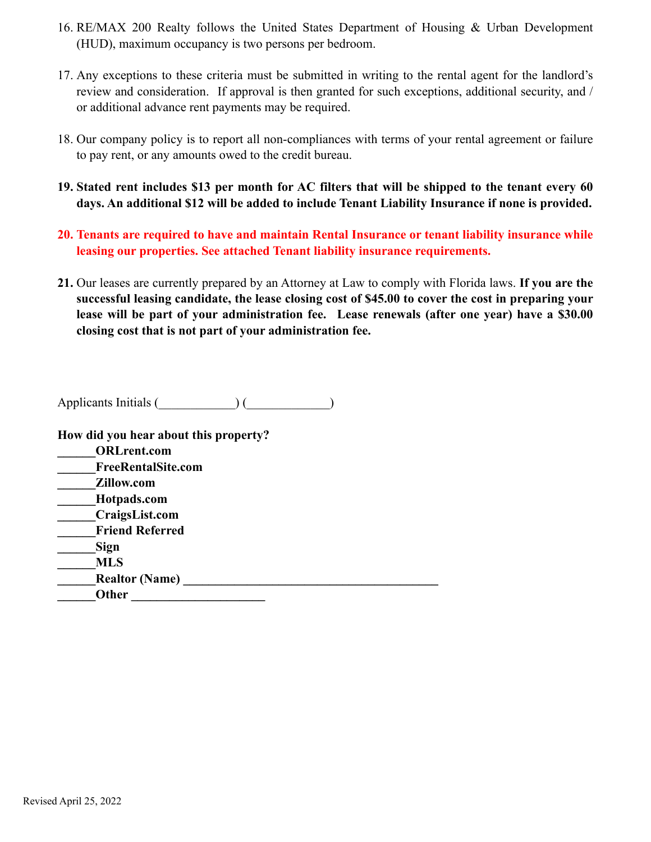- 16. RE/MAX 200 Realty follows the United States Department of Housing & Urban Development (HUD), maximum occupancy is two persons per bedroom.
- 17. Any exceptions to these criteria must be submitted in writing to the rental agent for the landlord's review and consideration. If approval is then granted for such exceptions, additional security, and / or additional advance rent payments may be required.
- 18. Our company policy is to report all non-compliances with terms of your rental agreement or failure to pay rent, or any amounts owed to the credit bureau.
- **19. Stated rent includes \$13 per month for AC filters that will be shipped to the tenant every 60 days. An additional \$12 will be added to include Tenant Liability Insurance if none is provided.**
- **20. Tenants are required to have and maintain Rental Insurance or tenant liability insurance while leasing our properties. See attached Tenant liability insurance requirements.**
- **21.** Our leases are currently prepared by an Attorney at Law to comply with Florida laws. **If you are the successful leasing candidate, the lease closing cost of \$45.00 to cover the cost in preparing your lease will be part of your administration fee. Lease renewals (after one year) have a \$30.00 closing cost that is not part of your administration fee.**

Applicants Initials () ()

**How did you hear about this property? \_\_\_\_\_\_ORLrent.com \_\_\_\_\_\_FreeRentalSite.com \_\_\_\_\_\_Zillow.com \_\_\_\_\_\_Hotpads.com \_\_\_\_\_\_CraigsList.com \_\_\_\_\_\_Friend Referred \_\_\_\_\_\_Sign \_\_\_\_\_\_MLS Realtor (Name) \_\_\_\_\_\_Other \_\_\_\_\_\_\_\_\_\_\_\_\_\_\_\_\_\_\_\_\_**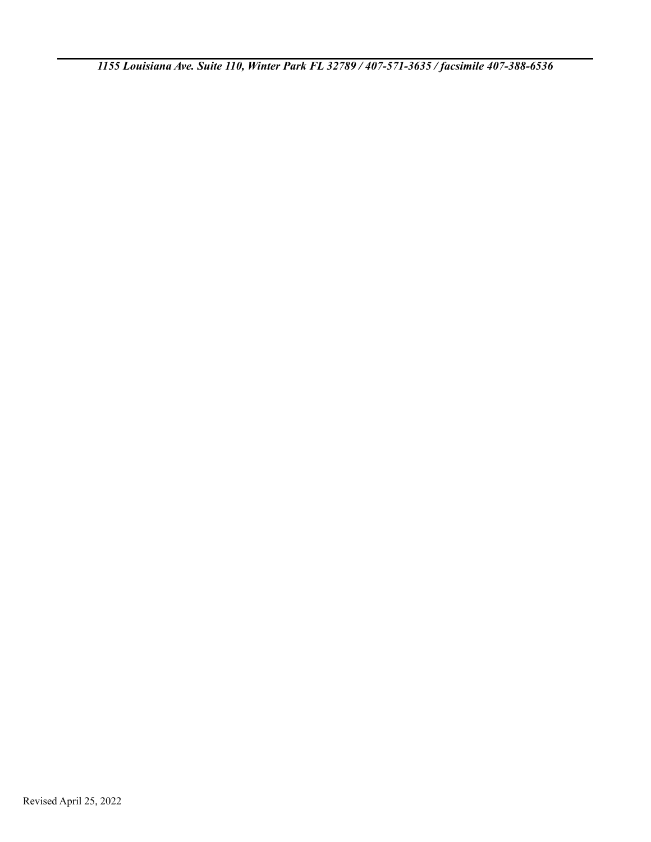*1155 Louisiana Ave. Suite 110, Winter Park FL 32789 / 407-571-3635 / facsimile 407-388-6536*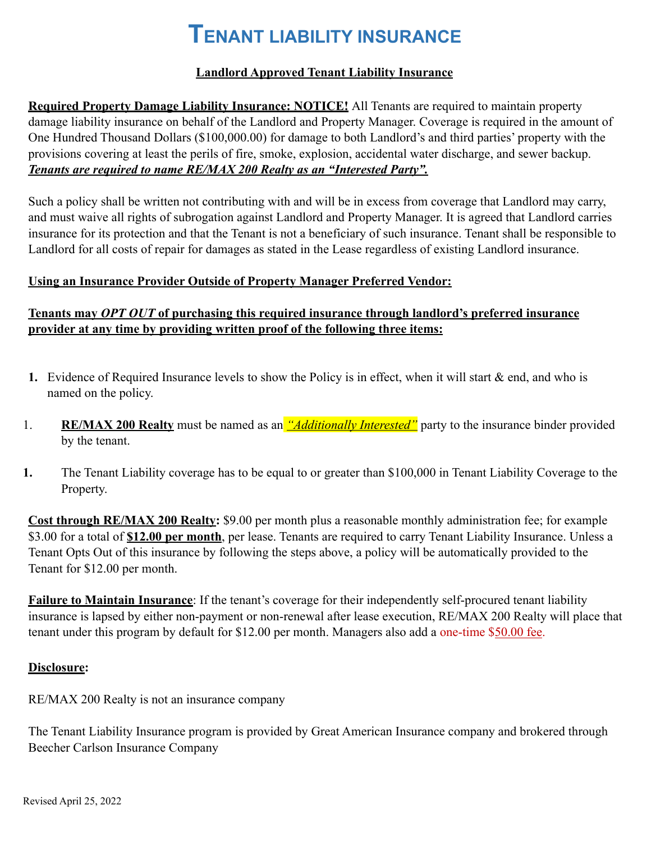# **TENANT LIABILITY INSURANCE**

### **Landlord Approved Tenant Liability Insurance**

**Required Property Damage Liability Insurance: NOTICE!** All Tenants are required to maintain property damage liability insurance on behalf of the Landlord and Property Manager. Coverage is required in the amount of One Hundred Thousand Dollars (\$100,000.00) for damage to both Landlord's and third parties' property with the provisions covering at least the perils of fire, smoke, explosion, accidental water discharge, and sewer backup. *Tenants are required to name RE/MAX 200 Realty as an "Interested Party".*

Such a policy shall be written not contributing with and will be in excess from coverage that Landlord may carry, and must waive all rights of subrogation against Landlord and Property Manager. It is agreed that Landlord carries insurance for its protection and that the Tenant is not a beneficiary of such insurance. Tenant shall be responsible to Landlord for all costs of repair for damages as stated in the Lease regardless of existing Landlord insurance.

### **Using an Insurance Provider Outside of Property Manager Preferred Vendor:**

## **Tenants may** *OPT OUT* **of purchasing this required insurance through landlord's preferred insurance provider at any time by providing written proof of the following three items:**

- **1.** Evidence of Required Insurance levels to show the Policy is in effect, when it will start & end, and who is named on the policy.
- 1. **RE/MAX 200 Realty** must be named as an *"Additionally Interested"* party to the insurance binder provided by the tenant.
- **1.** The Tenant Liability coverage has to be equal to or greater than \$100,000 in Tenant Liability Coverage to the Property.

**Cost through RE/MAX 200 Realty:** \$9.00 per month plus a reasonable monthly administration fee; for example \$3.00 for a total of **\$12.00 per month**, per lease. Tenants are required to carry Tenant Liability Insurance. Unless a Tenant Opts Out of this insurance by following the steps above, a policy will be automatically provided to the Tenant for \$12.00 per month.

**Failure to Maintain Insurance**: If the tenant's coverage for their independently self-procured tenant liability insurance is lapsed by either non-payment or non-renewal after lease execution, RE/MAX 200 Realty will place that tenant under this program by default for \$12.00 per month. Managers also add a one-time \$50.00 fee.

### **Disclosure:**

RE/MAX 200 Realty is not an insurance company

The Tenant Liability Insurance program is provided by Great American Insurance company and brokered through Beecher Carlson Insurance Company